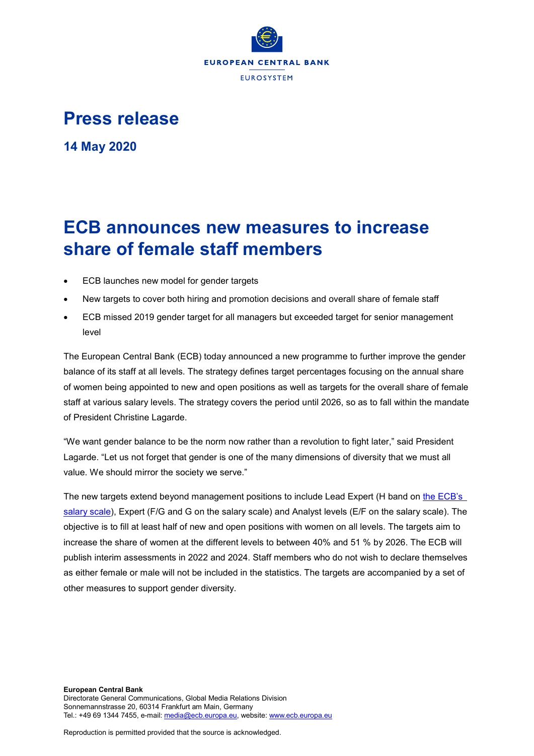

## **Press release**

**14 May 2020**

# **ECB announces new measures to increase share of female staff members**

- ECB launches new model for gender targets
- New targets to cover both hiring and promotion decisions and overall share of female staff
- ECB missed 2019 gender target for all managers but exceeded target for senior management level

The European Central Bank (ECB) today announced a new programme to further improve the gender balance of its staff at all levels. The strategy defines target percentages focusing on the annual share of women being appointed to new and open positions as well as targets for the overall share of female staff at various salary levels. The strategy covers the period until 2026, so as to fall within the mandate of President Christine Lagarde.

"We want gender balance to be the norm now rather than a revolution to fight later," said President Lagarde. "Let us not forget that gender is one of the many dimensions of diversity that we must all value. We should mirror the society we serve."

The new targets extend beyond management positions to include Lead Expert (H band on [the ECB's](https://www.ecb.europa.eu/careers/pdf/coe_annex_1_salary_structure.pdf)  [salary scale\)](https://www.ecb.europa.eu/careers/pdf/coe_annex_1_salary_structure.pdf), Expert (F/G and G on the salary scale) and Analyst levels (E/F on the salary scale). The objective is to fill at least half of new and open positions with women on all levels. The targets aim to increase the share of women at the different levels to between 40% and 51 % by 2026. The ECB will publish interim assessments in 2022 and 2024. Staff members who do not wish to declare themselves as either female or male will not be included in the statistics. The targets are accompanied by a set of other measures to support gender diversity.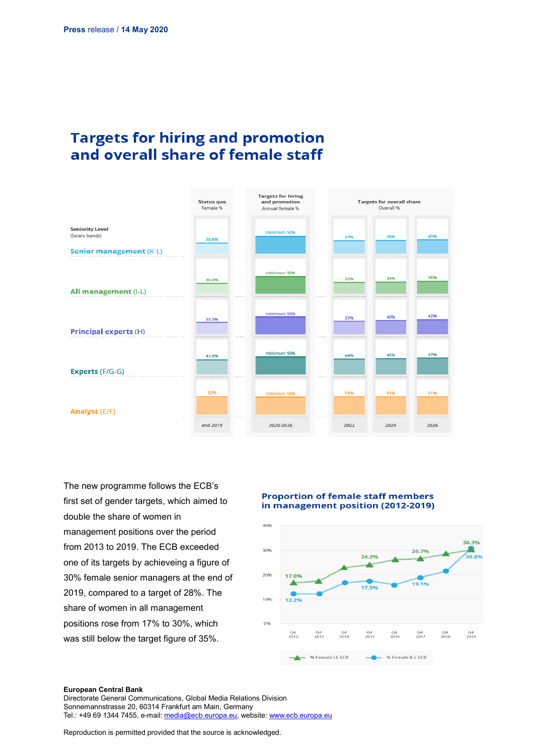## **Targets for hiring and promotion** and overall share of female staff



The new programme follows the ECB's first set of gender targets, which aimed to double the share of women in management positions over the period from 2013 to 2019. The ECB exceeded one of its targets by achieveing a figure of 30% female senior managers at the end of 2019, compared to a target of 28%. The share of women in all management positions rose from 17% to 30%, which was still below the target figure of 35%.

### **Proportion of female staff members** in management position (2012-2019)



#### **European Central Bank**

Directorate General Communications, Global Media Relations Division Sonnemannstrasse 20, 60314 Frankfurt am Main, Germany Tel.: +49 69 1344 7455, e-mail[: media@ecb.europa.eu,](mailto:media@ecb.europa.eu) website[: www.ecb.europa.eu](http://www.ecb.europa.eu/)

Reproduction is permitted provided that the source is acknowledged.